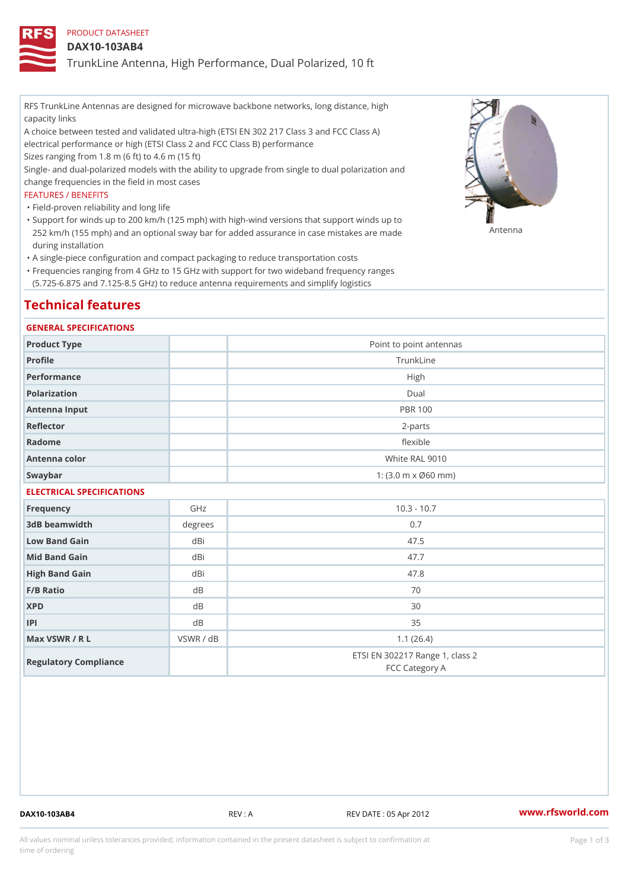## PRODUCT DATASHEET

### DAX10-103AB4

TrunkLine Antenna, High Performance, Dual Polarized, 10 ft

RFS TrunkLine Antennas are designed for microwave backbone networks, long distance, high capacity links

A choice between tested and validated ultra-high (ETSI EN 302 217 Class 3 and FCC Class A) electrical performance or high (ETSI Class 2 and FCC Class B) performance

Sizes ranging from 1.8 m (6 ft) to 4.6 m (15 ft)

Single- and dual-polarized models with the ability to upgrade from single to dual polarization and change frequencies in the field in most cases

#### FEATURES / BENEFITS

"Field-proven reliability and long life

- Support for winds up to 200 km/h (125 mph) with high-wind versions that support winds up to " 252 km/h (155 mph) and an optional sway bar for added assurance in case m S # \$ R & B are made during installation
- "A single-piece configuration and compact packaging to reduce transportation costs
- Frequencies ranging from 4 GHz to 15 GHz with support for two wideband frequency ranges " (5.725-6.875 and 7.125-8.5 GHz) to reduce antenna requirements and simplify logistics

## Technical features

#### GENERAL SPECIFICATIONS

| Product Type  | Point to point antennas                                 |  |  |  |
|---------------|---------------------------------------------------------|--|--|--|
| Profile       | TrunkLine                                               |  |  |  |
| Performance   | High                                                    |  |  |  |
| Polarization  | $D$ ual                                                 |  |  |  |
| Antenna Input | <b>PBR 100</b>                                          |  |  |  |
| Reflector     | 2-parts                                                 |  |  |  |
| Radome        | flexible                                                |  |  |  |
| Antenna color | White RAL 9010                                          |  |  |  |
| Swaybar       | 1: $(3.0 \, \text{m} \times \emptyset 60 \, \text{mm})$ |  |  |  |
|               |                                                         |  |  |  |

## ELECTRICAL SPECIFICATIONS

| Frequency             | GHz       | $10.3 - 10.7$                                     |
|-----------------------|-----------|---------------------------------------------------|
| 3dB beamwidth         | degree    | 0.7                                               |
| Low Band Gain         | dBi       | 47.5                                              |
| Mid Band Gain         | dBi       | 47.7                                              |
| High Band Gain        | dBi       | 47.8                                              |
| $F/B$ Ratio           | d B       | 70                                                |
| <b>XPD</b>            | d B       | 30                                                |
| P                     | d B       | 35                                                |
| Max VSWR / R L        | VSWR / dB | 1.1(26.4)                                         |
| Regulatory Compliance |           | ETSI EN 302217 Range 1, class 2<br>FCC Category A |

DAX10-103AB4 REV : A REV DATE : 05 Apr 2012 [www.](https://www.rfsworld.com)rfsworld.com

All values nominal unless tolerances provided; information contained in the present datasheet is subject to Pcapgeign mation time of ordering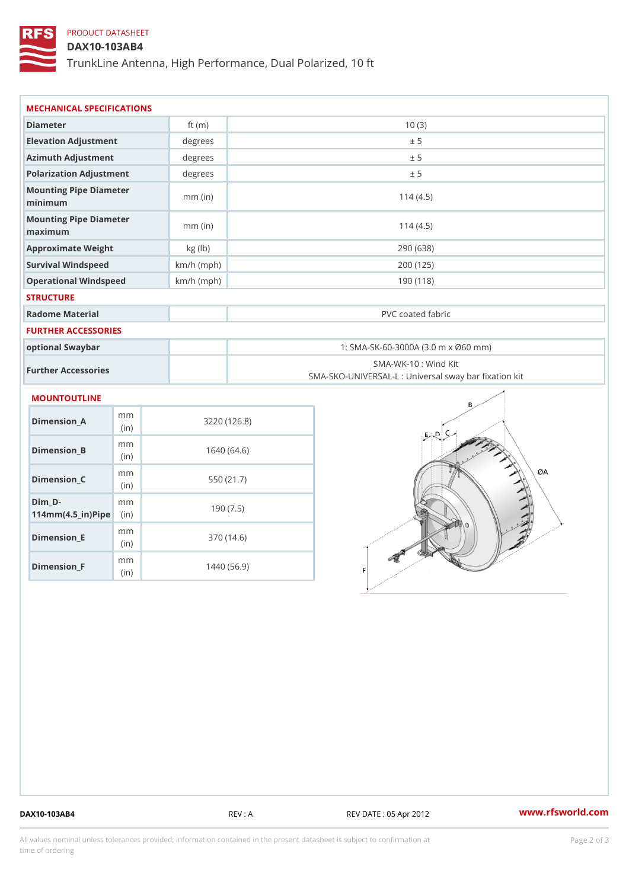# PRODUCT DATASHEET

DAX10-103AB4

TrunkLine Antenna, High Performance, Dual Polarized, 10 ft

| MECHANICAL SPECIFICATIONS                                                    |              |                                                                          |  |
|------------------------------------------------------------------------------|--------------|--------------------------------------------------------------------------|--|
| Diameter                                                                     | ft $(m)$     | 10(3)                                                                    |  |
| Elevation Adjustment                                                         | degree:      | ± 5                                                                      |  |
| Azimuth Adjustment                                                           | degree:      | ± 5                                                                      |  |
| Polarization Adjustment                                                      | degrees      | ± 5                                                                      |  |
| Mounting Pipe Diameter<br>minimum                                            | $mm$ (in)    | 114(4.5)                                                                 |  |
| Mounting Pipe Diameter<br>maximum                                            | $mm$ (in)    | 114(4.5)                                                                 |  |
| Approximate Weight                                                           | kg (lb)      | 290 (638)                                                                |  |
| Survival Windspeed                                                           | $km/h$ (mph) | 200 (125)                                                                |  |
| Operational Windspeed                                                        | $km/h$ (mph) | 190 (118)                                                                |  |
| <b>STRUCTURE</b>                                                             |              |                                                                          |  |
| Radome Material                                                              |              | PVC coated fabric                                                        |  |
| FURTHER ACCESSORIES                                                          |              |                                                                          |  |
| optional Swaybar                                                             |              | 1: SMA-SK-60-3000A (3.0 m x Ø60 mm)                                      |  |
| Further Accessories                                                          |              | SMA-WK-10: Wind Kit<br>SMA-SKO-UNIVERSAL-L : Universal sway bar fixation |  |
| MOUNTOUTLINE                                                                 |              |                                                                          |  |
| m <sub>m</sub><br>$Dimension_A$<br>(in)                                      |              | 3220(126.8)                                                              |  |
| m <sub>m</sub><br>Dimension_B<br>(in)                                        |              | 1640(64.6)                                                               |  |
| m m<br>Dimension C<br>(in)                                                   |              | 550 (21.7)                                                               |  |
| $Dim_D -$<br>m <sub>m</sub><br>$114$ m m (4.5 _ ir ) $\sqrt{$ iip $\sqrt{ }$ |              | 190(7.5)                                                                 |  |

Dimension\_E

Dimension\_F

m<sub>m</sub> (in)

m<sub>m</sub> (in)

370 (14.6)

1440 (56.9)

DAX10-103AB4 REV : A REV DATE : 05 Apr 2012 [www.](https://www.rfsworld.com)rfsworld.com